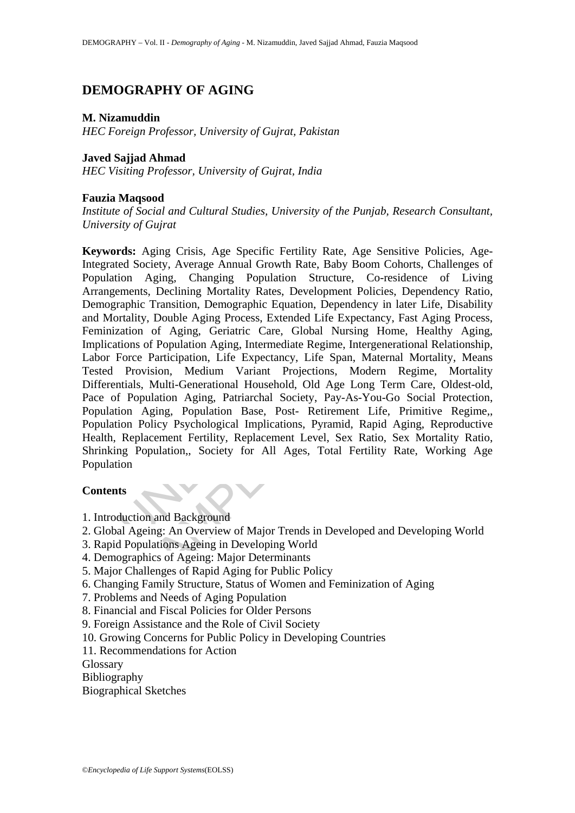# **DEMOGRAPHY OF AGING**

#### **M. Nizamuddin**

*HEC Foreign Professor, University of Gujrat, Pakistan* 

## **Javed Sajjad Ahmad**

*HEC Visiting Professor, University of Gujrat, India* 

## **Fauzia Maqsood**

*Institute of Social and Cultural Studies, University of the Punjab, Research Consultant, University of Gujrat* 

rds: Aging Crisis, Age Specific Fertility Rate, Age Sensitive<br>ed Society, Average Annual Growth Rate, Baby Boom Cohorts,<br>ion Aging, Changing Population Structure, Co-residence<br>ments, Declining Mortality Rates, Development Argue Crisis, Age Jopcton Teutiny Nata, Age Sustainer Crisis, Society, Average Annual Growth Rate, Baby Boom Cohorts, Challenge Aging, Changing Population Structure, Co-residence of Lints, Declining Mortality Rates, Develo **Keywords:** Aging Crisis, Age Specific Fertility Rate, Age Sensitive Policies, Age-Integrated Society, Average Annual Growth Rate, Baby Boom Cohorts, Challenges of Population Aging, Changing Population Structure, Co-residence of Living Arrangements, Declining Mortality Rates, Development Policies, Dependency Ratio, Demographic Transition, Demographic Equation, Dependency in later Life, Disability and Mortality, Double Aging Process, Extended Life Expectancy, Fast Aging Process, Feminization of Aging, Geriatric Care, Global Nursing Home, Healthy Aging, Implications of Population Aging, Intermediate Regime, Intergenerational Relationship, Labor Force Participation, Life Expectancy, Life Span, Maternal Mortality, Means Tested Provision, Medium Variant Projections, Modern Regime, Mortality Differentials, Multi-Generational Household, Old Age Long Term Care, Oldest-old, Pace of Population Aging, Patriarchal Society, Pay-As-You-Go Social Protection, Population Aging, Population Base, Post- Retirement Life, Primitive Regime,, Population Policy Psychological Implications, Pyramid, Rapid Aging, Reproductive Health, Replacement Fertility, Replacement Level, Sex Ratio, Sex Mortality Ratio, Shrinking Population,, Society for All Ages, Total Fertility Rate, Working Age Population

#### **Contents**

- 1. Introduction and Background
- 2. Global Ageing: An Overview of Major Trends in Developed and Developing World
- 3. Rapid Populations Ageing in Developing World
- 4. Demographics of Ageing: Major Determinants
- 5. Major Challenges of Rapid Aging for Public Policy
- 6. Changing Family Structure, Status of Women and Feminization of Aging
- 7. Problems and Needs of Aging Population
- 8. Financial and Fiscal Policies for Older Persons
- 9. Foreign Assistance and the Role of Civil Society
- 10. Growing Concerns for Public Policy in Developing Countries
- 11. Recommendations for Action

Glossary

Bibliography

Biographical Sketches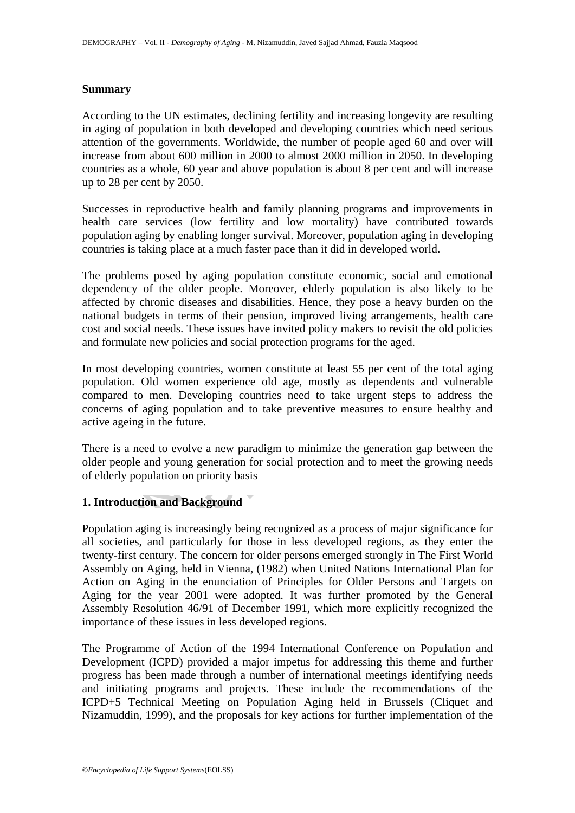#### **Summary**

According to the UN estimates, declining fertility and increasing longevity are resulting in aging of population in both developed and developing countries which need serious attention of the governments. Worldwide, the number of people aged 60 and over will increase from about 600 million in 2000 to almost 2000 million in 2050. In developing countries as a whole, 60 year and above population is about 8 per cent and will increase up to 28 per cent by 2050.

Successes in reproductive health and family planning programs and improvements in health care services (low fertility and low mortality) have contributed towards population aging by enabling longer survival. Moreover, population aging in developing countries is taking place at a much faster pace than it did in developed world.

following to enable and the article of the article of the article of article and a process of major aging is it taking place at a much faster pace than it did in developed we bblems posed by aging population constitute eco Final many practical many practical metallical metallic conomic, social and emotions posed by aging population constitute conomic, social and emotions of the older people. Moreover, elderly population is also likely to the The problems posed by aging population constitute economic, social and emotional dependency of the older people. Moreover, elderly population is also likely to be affected by chronic diseases and disabilities. Hence, they pose a heavy burden on the national budgets in terms of their pension, improved living arrangements, health care cost and social needs. These issues have invited policy makers to revisit the old policies and formulate new policies and social protection programs for the aged.

In most developing countries, women constitute at least 55 per cent of the total aging population. Old women experience old age, mostly as dependents and vulnerable compared to men. Developing countries need to take urgent steps to address the concerns of aging population and to take preventive measures to ensure healthy and active ageing in the future.

There is a need to evolve a new paradigm to minimize the generation gap between the older people and young generation for social protection and to meet the growing needs of elderly population on priority basis

### **1. Introduction and Background**

Population aging is increasingly being recognized as a process of major significance for all societies, and particularly for those in less developed regions, as they enter the twenty-first century. The concern for older persons emerged strongly in The First World Assembly on Aging, held in Vienna, (1982) when United Nations International Plan for Action on Aging in the enunciation of Principles for Older Persons and Targets on Aging for the year 2001 were adopted. It was further promoted by the General Assembly Resolution 46/91 of December 1991, which more explicitly recognized the importance of these issues in less developed regions.

The Programme of Action of the 1994 International Conference on Population and Development (ICPD) provided a major impetus for addressing this theme and further progress has been made through a number of international meetings identifying needs and initiating programs and projects. These include the recommendations of the ICPD+5 Technical Meeting on Population Aging held in Brussels (Cliquet and Nizamuddin, 1999), and the proposals for key actions for further implementation of the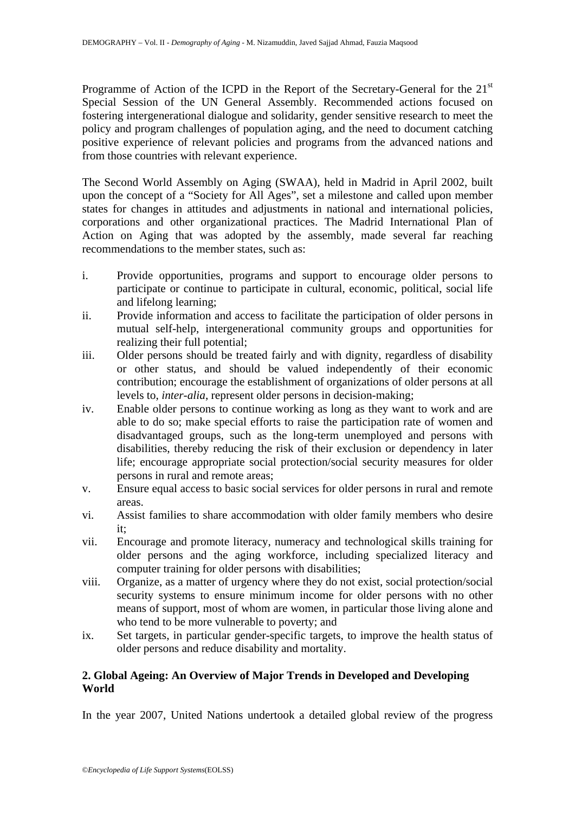Programme of Action of the ICPD in the Report of the Secretary-General for the 21<sup>st</sup> Special Session of the UN General Assembly. Recommended actions focused on fostering intergenerational dialogue and solidarity, gender sensitive research to meet the policy and program challenges of population aging, and the need to document catching positive experience of relevant policies and programs from the advanced nations and from those countries with relevant experience.

The Second World Assembly on Aging (SWAA), held in Madrid in April 2002, built upon the concept of a "Society for All Ages", set a milestone and called upon member states for changes in attitudes and adjustments in national and international policies, corporations and other organizational practices. The Madrid International Plan of Action on Aging that was adopted by the assembly, made several far reaching recommendations to the member states, such as:

- i. Provide opportunities, programs and support to encourage older persons to participate or continue to participate in cultural, economic, political, social life and lifelong learning;
- ii. Provide information and access to facilitate the participation of older persons in mutual self-help, intergenerational community groups and opportunities for realizing their full potential;
- iii. Older persons should be treated fairly and with dignity, regardless of disability or other status, and should be valued independently of their economic contribution; encourage the establishment of organizations of older persons at all levels to, *inter-alia*, represent older persons in decision-making;
- on Aging that was adopted by the assembly, made severa<br>endations to the member states, such as:<br>Provide opportunities, programs and support to encourage ole<br>participate or continue to participate in cultural, economic, pol and the mortal continue of particular system and support to encourage older person<br>vide opportunities, programs and support to encourage older person<br>iticipate or continue to participate in cultural, economic, political, s iv. Enable older persons to continue working as long as they want to work and are able to do so; make special efforts to raise the participation rate of women and disadvantaged groups, such as the long-term unemployed and persons with disabilities, thereby reducing the risk of their exclusion or dependency in later life; encourage appropriate social protection/social security measures for older persons in rural and remote areas;
- v. Ensure equal access to basic social services for older persons in rural and remote areas.
- vi. Assist families to share accommodation with older family members who desire it;
- vii. Encourage and promote literacy, numeracy and technological skills training for older persons and the aging workforce, including specialized literacy and computer training for older persons with disabilities;
- viii. Organize, as a matter of urgency where they do not exist, social protection/social security systems to ensure minimum income for older persons with no other means of support, most of whom are women, in particular those living alone and who tend to be more vulnerable to poverty; and
- ix. Set targets, in particular gender-specific targets, to improve the health status of older persons and reduce disability and mortality.

# **2. Global Ageing: An Overview of Major Trends in Developed and Developing World**

In the year 2007, United Nations undertook a detailed global review of the progress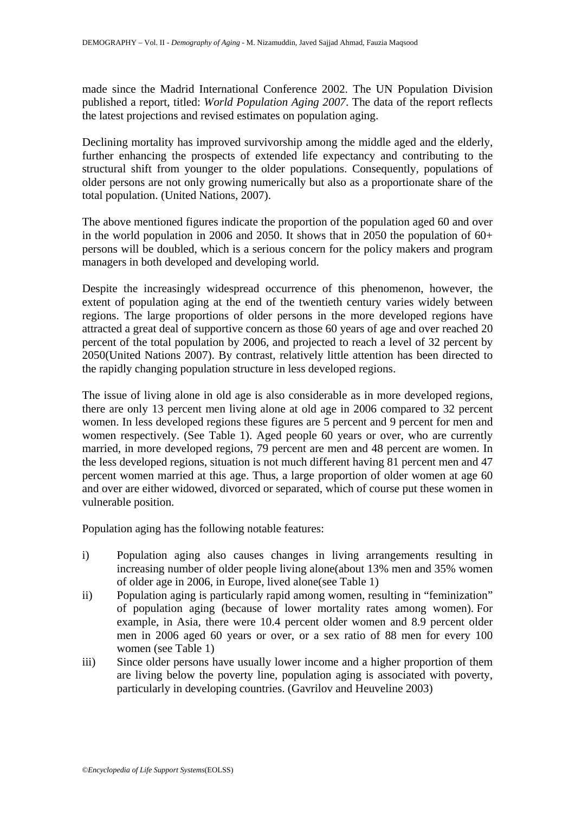made since the Madrid International Conference 2002. The UN Population Division published a report, titled: *World Population Aging 2007*. The data of the report reflects the latest projections and revised estimates on population aging.

Declining mortality has improved survivorship among the middle aged and the elderly, further enhancing the prospects of extended life expectancy and contributing to the structural shift from younger to the older populations. Consequently, populations of older persons are not only growing numerically but also as a proportionate share of the total population. (United Nations, 2007).

The above mentioned figures indicate the proportion of the population aged 60 and over in the world population in 2006 and 2050. It shows that in 2050 the population of  $60+$ persons will be doubled, which is a serious concern for the policy makers and program managers in both developed and developing world.

Despite the increasingly widespread occurrence of this phenomenon, however, the extent of population aging at the end of the twentieth century varies widely between regions. The large proportions of older persons in the more developed regions have attracted a great deal of supportive concern as those 60 years of age and over reached 20 percent of the total population by 2006, and projected to reach a level of 32 percent by 2050(United Nations 2007). By contrast, relatively little attention has been directed to the rapidly changing population structure in less developed regions.

Following 12000 and 2000. It shows that in 2000 up population in 2000 up population in 2000 up and a serious concern for the policy makers in both developed and developing world.<br>
the increasingly widespread occurrence of In both developed and developing world.<br>
e increasingly widespread occurrence of this phenomenon, however,<br>
oppulation aging at the end of the twentieth century varies widely between<br>
lead population by 2006, and projecte The issue of living alone in old age is also considerable as in more developed regions, there are only 13 percent men living alone at old age in 2006 compared to 32 percent women. In less developed regions these figures are 5 percent and 9 percent for men and women respectively. (See Table 1). Aged people 60 years or over, who are currently married, in more developed regions, 79 percent are men and 48 percent are women. In the less developed regions, situation is not much different having 81 percent men and 47 percent women married at this age. Thus, a large proportion of older women at age 60 and over are either widowed, divorced or separated, which of course put these women in vulnerable position.

Population aging has the following notable features:

- i) Population aging also causes changes in living arrangements resulting in increasing number of older people living alone(about 13% men and 35% women of older age in 2006, in Europe, lived alone(see Table 1)
- ii) Population aging is particularly rapid among women, resulting in "feminization" of population aging (because of lower mortality rates among women). For example, in Asia, there were 10.4 percent older women and 8.9 percent older men in 2006 aged 60 years or over, or a sex ratio of 88 men for every 100 women (see Table 1)
- iii) Since older persons have usually lower income and a higher proportion of them are living below the poverty line, population aging is associated with poverty, particularly in developing countries. (Gavrilov and Heuveline 2003)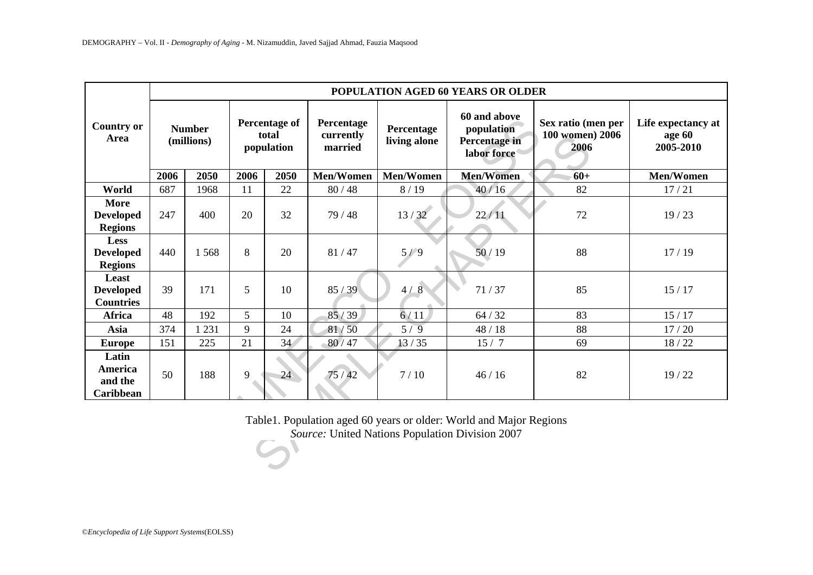| <b>Country or</b><br>Area                         | POPULATION AGED 60 YEARS OR OLDER |         |                                      |      |                                    |                            |                                                                                                                       |                                               |                                           |  |
|---------------------------------------------------|-----------------------------------|---------|--------------------------------------|------|------------------------------------|----------------------------|-----------------------------------------------------------------------------------------------------------------------|-----------------------------------------------|-------------------------------------------|--|
|                                                   | <b>Number</b><br>(millions)       |         | Percentage of<br>total<br>population |      | Percentage<br>currently<br>married | Percentage<br>living alone | 60 and above<br>population<br>Percentage in<br>labor force                                                            | Sex ratio (men per<br>100 women) 2006<br>2006 | Life expectancy at<br>age 60<br>2005-2010 |  |
|                                                   | 2006                              | 2050    | 2006                                 | 2050 | Men/Women                          | Men/Women                  | <b>Men/Women</b>                                                                                                      | $60+$                                         | Men/Women                                 |  |
| World                                             | 687                               | 1968    | 11                                   | 22   | 80/48                              | 8/19                       | 40/16                                                                                                                 | 82                                            | 17/21                                     |  |
| <b>More</b><br><b>Developed</b><br><b>Regions</b> | 247                               | 400     | 20                                   | 32   | 79 / 48                            | 13/32                      | 22/11                                                                                                                 | 72                                            | 19/23                                     |  |
| Less<br><b>Developed</b><br><b>Regions</b>        | 440                               | 1568    | 8                                    | 20   | 81/47                              | 5/9                        | 50/19                                                                                                                 | 88                                            | 17/19                                     |  |
| Least<br><b>Developed</b><br><b>Countries</b>     | 39                                | 171     | 5                                    | 10   | 85/39                              | 4/8                        | 71/37                                                                                                                 | 85                                            | 15/17                                     |  |
| <b>Africa</b>                                     | 48                                | 192     | 5                                    | 10   | 85/39                              | 6/11                       | 64 / 32                                                                                                               | 83                                            | 15/17                                     |  |
| Asia                                              | 374                               | 1 2 3 1 | 9                                    | 24   | 81/50                              | 5/9                        | 48 / 18                                                                                                               | 88                                            | 17/20                                     |  |
| <b>Europe</b>                                     | 151                               | 225     | 21                                   | 34   | 80/47                              | 13/35                      | 15/7                                                                                                                  | 69                                            | 18/22                                     |  |
| Latin<br>America<br>and the<br>Caribbean          | 50                                | 188     | 9                                    | 24   | 75/42                              | 7/10                       | 46/16                                                                                                                 | 82                                            | 19/22                                     |  |
|                                                   |                                   |         |                                      |      |                                    |                            | Table1. Population aged 60 years or older: World and Major Regions<br>Source: United Nations Population Division 2007 |                                               |                                           |  |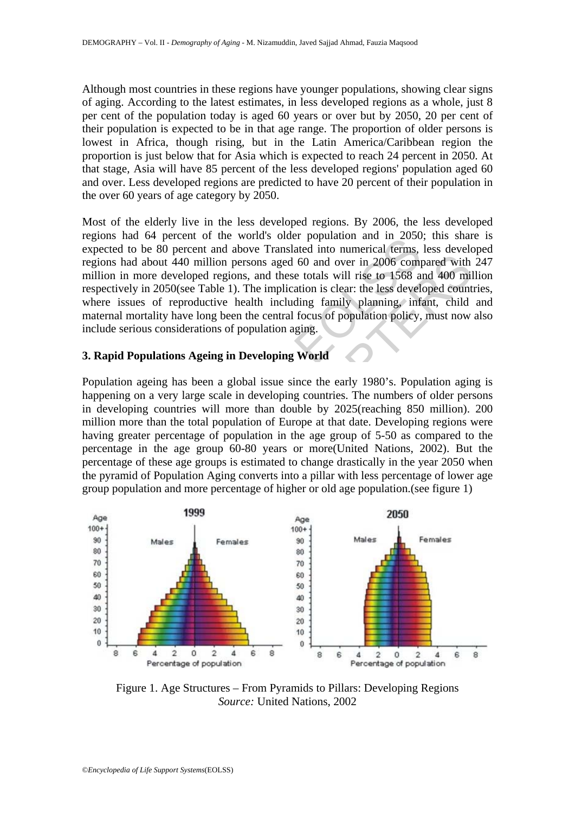Although most countries in these regions have younger populations, showing clear signs of aging. According to the latest estimates, in less developed regions as a whole, just 8 per cent of the population today is aged 60 years or over but by 2050, 20 per cent of their population is expected to be in that age range. The proportion of older persons is lowest in Africa, though rising, but in the Latin America/Caribbean region the proportion is just below that for Asia which is expected to reach 24 percent in 2050. At that stage, Asia will have 85 percent of the less developed regions' population aged 60 and over. Less developed regions are predicted to have 20 percent of their population in the over 60 years of age category by 2050.

Most of the elderly live in the less developed regions. By 2006, the less developed regions had 64 percent of the world's older population and in 2050; this share is expected to be 80 percent and above Translated into numerical terms, less developed regions had about 440 million persons aged 60 and over in 2006 compared with 247 million in more developed regions, and these totals will rise to 1568 and 400 million respectively in 2050(see Table 1). The implication is clear: the less developed countries, where issues of reproductive health including family planning, infant, child and maternal mortality have long been the central focus of population policy, must now also include serious considerations of population aging.

## **3. Rapid Populations Ageing in Developing World**

and  $\omega_+$  exceln of the words over polydation and in 2000<br>had to be 80 percent and above Translated into numerical terms,<br>had about 440 million persons aged 60 and over in 2006 comp<br>in more developed regions, and these t dentified to these approximates and the set of the set of the set of the set of the set of the set of reproductive health including family planning, infant, child one in 2006 compared with more developed regions, and these Population ageing has been a global issue since the early 1980's. Population aging is happening on a very large scale in developing countries. The numbers of older persons in developing countries will more than double by 2025(reaching 850 million). 200 million more than the total population of Europe at that date. Developing regions were having greater percentage of population in the age group of 5-50 as compared to the percentage in the age group 60-80 years or more(United Nations, 2002). But the percentage of these age groups is estimated to change drastically in the year 2050 when the pyramid of Population Aging converts into a pillar with less percentage of lower age group population and more percentage of higher or old age population.(see figure 1)



Figure 1. Age Structures – From Pyramids to Pillars: Developing Regions *Source:* United Nations, 2002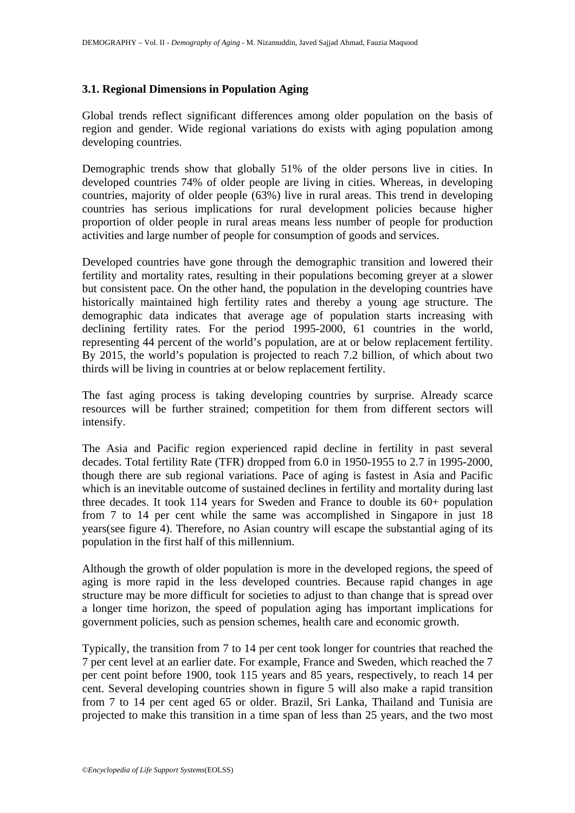#### **3.1. Regional Dimensions in Population Aging**

Global trends reflect significant differences among older population on the basis of region and gender. Wide regional variations do exists with aging population among developing countries.

Demographic trends show that globally 51% of the older persons live in cities. In developed countries 74% of older people are living in cities. Whereas, in developing countries, majority of older people (63%) live in rural areas. This trend in developing countries has serious implications for rural development policies because higher proportion of older people in rural areas means less number of people for production activities and large number of people for consumption of goods and services.

be all that the same way apply the same way account the same window of the same incred<br>to 14 per cent and mortality rates, resulting in their populations becoming gressistent pace. On the other hand, the population in the countries have gone through the demographic transition and lowered id mortality rates, resulting in their populations becoming greyer at a sleept have the core on the other hand, the population in the developing countries Developed countries have gone through the demographic transition and lowered their fertility and mortality rates, resulting in their populations becoming greyer at a slower but consistent pace. On the other hand, the population in the developing countries have historically maintained high fertility rates and thereby a young age structure. The demographic data indicates that average age of population starts increasing with declining fertility rates. For the period 1995-2000, 61 countries in the world, representing 44 percent of the world's population, are at or below replacement fertility. By 2015, the world's population is projected to reach 7.2 billion, of which about two thirds will be living in countries at or below replacement fertility.

The fast aging process is taking developing countries by surprise. Already scarce resources will be further strained; competition for them from different sectors will intensify.

The Asia and Pacific region experienced rapid decline in fertility in past several decades. Total fertility Rate (TFR) dropped from 6.0 in 1950-1955 to 2.7 in 1995-2000, though there are sub regional variations. Pace of aging is fastest in Asia and Pacific which is an inevitable outcome of sustained declines in fertility and mortality during last three decades. It took 114 years for Sweden and France to double its 60+ population from 7 to 14 per cent while the same was accomplished in Singapore in just 18 years(see figure 4). Therefore, no Asian country will escape the substantial aging of its population in the first half of this millennium.

Although the growth of older population is more in the developed regions, the speed of aging is more rapid in the less developed countries. Because rapid changes in age structure may be more difficult for societies to adjust to than change that is spread over a longer time horizon, the speed of population aging has important implications for government policies, such as pension schemes, health care and economic growth.

Typically, the transition from 7 to 14 per cent took longer for countries that reached the 7 per cent level at an earlier date. For example, France and Sweden, which reached the 7 per cent point before 1900, took 115 years and 85 years, respectively, to reach 14 per cent. Several developing countries shown in figure 5 will also make a rapid transition from 7 to 14 per cent aged 65 or older. Brazil, Sri Lanka, Thailand and Tunisia are projected to make this transition in a time span of less than 25 years, and the two most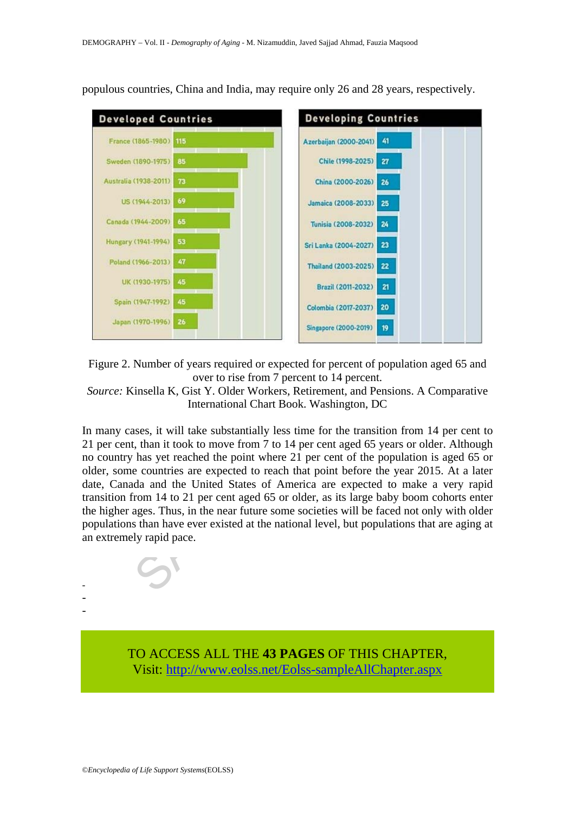

populous countries, China and India, may require only 26 and 28 years, respectively.

Figure 2. Number of years required or expected for percent of population aged 65 and over to rise from 7 percent to 14 percent.

*Source:* Kinsella K, Gist Y. Older Workers, Retirement, and Pensions. A Comparative International Chart Book. Washington, DC

(1956-2013) 47<br>
(1930-1975) 45<br>
(1930-1975) 45<br>
(1947-1992) 45<br>
(1974-1992) 45<br>
(1977-1999) 26<br>
(1977-1999) 26<br>
(1977-1999) 26<br>
(1977-1999) 26<br>
(1977-1999) 26<br>
(1977-1999) 26<br>
(1977-1999) 27<br>
(2001-2032) 27<br>
(2001-2032) 2 In many cases, it will take substantially less time for the transition from 14 per cent to 21 per cent, than it took to move from 7 to 14 per cent aged 65 years or older. Although no country has yet reached the point where 21 per cent of the population is aged 65 or older, some countries are expected to reach that point before the year 2015. At a later date, Canada and the United States of America are expected to make a very rapid transition from 14 to 21 per cent aged 65 or older, as its large baby boom cohorts enter the higher ages. Thus, in the near future some societies will be faced not only with older populations than have ever existed at the national level, but populations that are aging at an extremely rapid pace.



- - -

> TO ACCESS ALL THE **43 PAGES** OF THIS CHAPTER, Visit[: http://www.eolss.net/Eolss-sampleAllChapter.aspx](https://www.eolss.net/ebooklib/sc_cart.aspx?File=E6-147-12-00)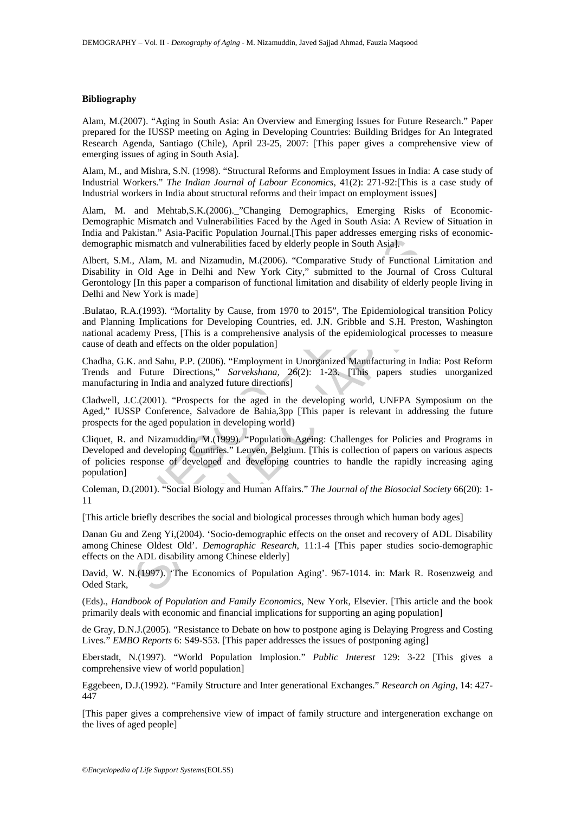#### **Bibliography**

Alam, M.(2007). "Aging in South Asia: An Overview and Emerging Issues for Future Research." Paper prepared for the IUSSP meeting on Aging in Developing Countries: Building Bridges for An Integrated Research Agenda, Santiago (Chile), April 23-25, 2007: [This paper gives a comprehensive view of emerging issues of aging in South Asia].

Alam, M., and Mishra, S.N. (1998). "Structural Reforms and Employment Issues in India: A case study of Industrial Workers." *The Indian Journal of Labour Economics*, 41(2): 271-92:[This is a case study of Industrial workers in India about structural reforms and their impact on employment issues]

Alam, M. and Mehtab,S.K.(2006).\_"Changing Demographics, Emerging Risks of Economic-Demographic Mismatch and Vulnerabilities Faced by the Aged in South Asia: A Review of Situation in India and Pakistan." Asia-Pacific Population Journal.[This paper addresses emerging risks of economicdemographic mismatch and vulnerabilities faced by elderly people in South Asia].

Albert, S.M., Alam, M. and Nizamudin, M.(2006). "Comparative Study of Functional Limitation and Disability in Old Age in Delhi and New York City," submitted to the Journal of Cross Cultural Gerontology [In this paper a comparison of functional limitation and disability of elderly people living in Delhi and New York is made]

.Bulatao, R.A.(1993). "Mortality by Cause, from 1970 to 2015", The Epidemiological transition Policy and Planning Implications for Developing Countries, ed. J.N. Gribble and S.H. Preston, Washington national academy Press, [This is a comprehensive analysis of the epidemiological processes to measure cause of death and effects on the older population]

Chadha, G.K. and Sahu, P.P. (2006). "Employment in Unorganized Manufacturing in India: Post Reform Trends and Future Directions," *Sarvekshana,* 26(2): 1-23. [This papers studies unorganized manufacturing in India and analyzed future directions]

Cladwell, J.C.(2001). "Prospects for the aged in the developing world, UNFPA Symposium on the Aged," IUSSP Conference, Salvadore de Bahia,3pp [This paper is relevant in addressing the future prospects for the aged population in developing world}

blic mismatch and vulnerabilities faced by elderly people in South Asial.<br>
M., Alam, M. and Nizamudin, M.(2006). "Comparative Study of Function<br>
1. M., Alam, M. and Nizamudin, M.(2006). "Comparative Study of Function<br>
1. M , Alam, M. and Nizamudin, M.(2006). "Comparative Study of Functional Limitation Old Age in Dehhi and New York City," submitted to the Journal of Cross Cut III in this paper a comparison of mioral and diability of elderly Cliquet, R. and Nizamuddin, M.(1999). "Population Ageing: Challenges for Policies and Programs in Developed and developing Countries." Leuven, Belgium. [This is collection of papers on various aspects of policies response of developed and developing countries to handle the rapidly increasing aging population]

Coleman, D.(2001). "Social Biology and Human Affairs." *The Journal of the Biosocial Society* 66(20): 1- 11

[This article briefly describes the social and biological processes through which human body ages]

Danan Gu and Zeng Yi,(2004). 'Socio-demographic effects on the onset and recovery of ADL Disability among Chinese Oldest Old'. *Demographic Research*, 11:1-4 [This paper studies socio-demographic effects on the ADL disability among Chinese elderly]

David, W. N.(1997). 'The Economics of Population Aging'. 967-1014. in: Mark R. Rosenzweig and Oded Stark,

(Eds)., *Handbook of Population and Family Economics,* New York, Elsevier. [This article and the book primarily deals with economic and financial implications for supporting an aging population]

de Gray, D.N.J.(2005). "Resistance to Debate on how to postpone aging is Delaying Progress and Costing Lives." *EMBO Reports* 6: S49-S53. [This paper addresses the issues of postponing aging]

Eberstadt, N.(1997). "World Population Implosion." *Public Interest* 129: 3-22 [This gives a comprehensive view of world population]

Eggebeen, D.J.(1992). "Family Structure and Inter generational Exchanges." *Research on Aging*, 14: 427- 447

[This paper gives a comprehensive view of impact of family structure and intergeneration exchange on the lives of aged people]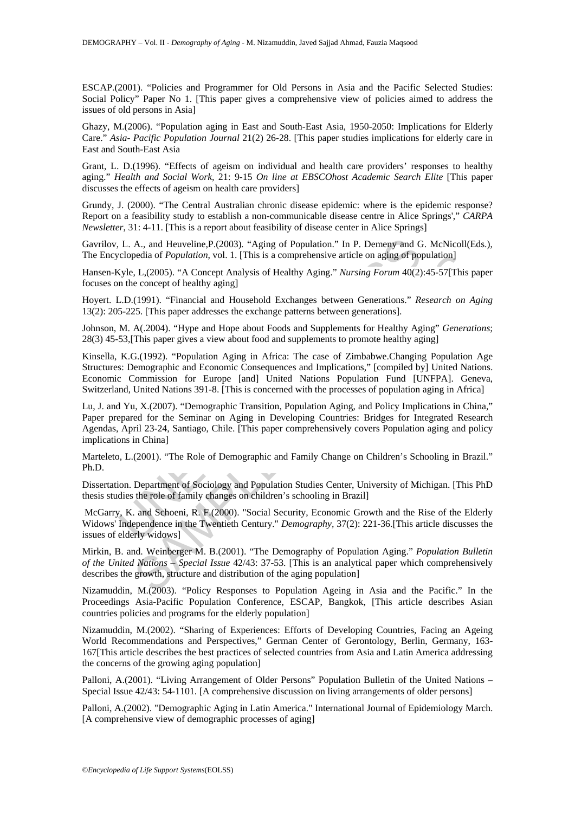ESCAP.(2001). "Policies and Programmer for Old Persons in Asia and the Pacific Selected Studies: Social Policy" Paper No 1. [This paper gives a comprehensive view of policies aimed to address the issues of old persons in Asia]

Ghazy, M.(2006). "Population aging in East and South-East Asia, 1950-2050: Implications for Elderly Care." *Asia- Pacific Population Journal* 21(2) 26-28. [This paper studies implications for elderly care in East and South-East Asia

Grant, L. D.(1996). "Effects of ageism on individual and health care providers' responses to healthy aging." *Health and Social Work,* 21: 9-15 *On line at EBSCOhost Academic Search Elite* [This paper discusses the effects of ageism on health care providers]

Grundy, J. (2000). "The Central Australian chronic disease epidemic: where is the epidemic response? Report on a feasibility study to establish a non-communicable disease centre in Alice Springs'," *CARPA Newsletter*, 31: 4-11. [This is a report about feasibility of disease center in Alice Springs]

Gavrilov, L. A., and Heuveline,P.(2003)*.* "Aging of Population." In P. Demeny and G. McNicoll(Eds.), The Encyclopedia of *Population*, vol. 1. [This is a comprehensive article on aging of population]

Hansen-Kyle, L,(2005). "A Concept Analysis of Healthy Aging." *Nursing Forum* 40(2):45-57[This paper focuses on the concept of healthy aging]

Hoyert. L.D.(1991). "Financial and Household Exchanges between Generations." *Research on Aging*  13(2): 205-225. [This paper addresses the exchange patterns between generations].

Johnson, M. A(.2004). "Hype and Hope about Foods and Supplements for Healthy Aging" *Generations*; 28(3) 45-53,[This paper gives a view about food and supplements to promote healthy aging]

I. A., and Heuveline, P. (2003). "Aging of Population." In P. Demeny and G<br>clopedia of *Population*, vol. 1. [This is a comprehensive article on aging of pop<br>(yle, L. (2005). "A Concept Analysis of Healthy Aging." *Nursing* pedia of *Population*, vol. 1. [This is a comprehensive article on aging of population],  $L_1L_2(2005)^{1.4}$  Concept Analysis of Healthy Aging." *Nursing Forum* 40(2):45-57[This  $1$ ,  $L_2(2005)^{1.4}$  Concept Analysis of H Kinsella, K.G.(1992). "Population Aging in Africa: The case of Zimbabwe.Changing Population Age Structures: Demographic and Economic Consequences and Implications," [compiled by] United Nations. Economic Commission for Europe [and] United Nations Population Fund [UNFPA]. Geneva, Switzerland, United Nations 391-8. [This is concerned with the processes of population aging in Africa]

Lu, J. and Yu, X.(2007). "Demographic Transition, Population Aging, and Policy Implications in China," Paper prepared for the Seminar on Aging in Developing Countries: Bridges for Integrated Research Agendas, April 23-24, Santiago, Chile. [This paper comprehensively covers Population aging and policy implications in China]

Marteleto, L.(2001). "The Role of Demographic and Family Change on Children's Schooling in Brazil." Ph.D.

Dissertation. Department of Sociology and Population Studies Center, University of Michigan. [This PhD thesis studies the role of family changes on children's schooling in Brazil]

 McGarry, K. and Schoeni, R. F.(2000). "Social Security, Economic Growth and the Rise of the Elderly Widows' Independence in the Twentieth Century." *Demography,* 37(2): 221-36.[This article discusses the issues of elderly widows]

Mirkin, B. and. Weinberger M. B.(2001). "The Demography of Population Aging." *Population Bulletin of the United Nations – Special Issue* 42/43: 37-53. [This is an analytical paper which comprehensively describes the growth, structure and distribution of the aging population]

Nizamuddin, M.(2003). "Policy Responses to Population Ageing in Asia and the Pacific." In the Proceedings Asia-Pacific Population Conference, ESCAP, Bangkok, [This article describes Asian countries policies and programs for the elderly population]

Nizamuddin, M.(2002). "Sharing of Experiences: Efforts of Developing Countries, Facing an Ageing World Recommendations and Perspectives," German Center of Gerontology, Berlin, Germany, 163- 167[This article describes the best practices of selected countries from Asia and Latin America addressing the concerns of the growing aging population]

Palloni, A.(2001). "Living Arrangement of Older Persons" Population Bulletin of the United Nations – Special Issue 42/43: 54-1101. [A comprehensive discussion on living arrangements of older persons]

Palloni, A.(2002). "Demographic Aging in Latin America." International Journal of Epidemiology March. [A comprehensive view of demographic processes of aging]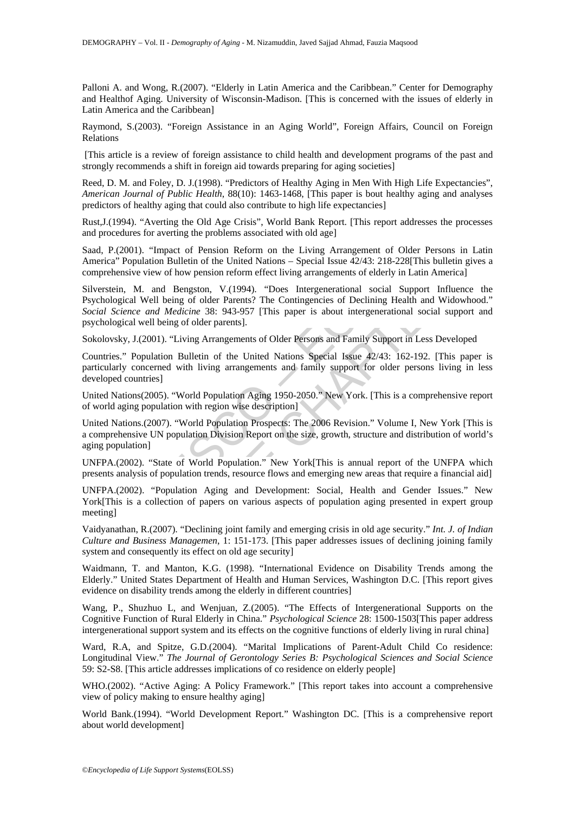Palloni A. and Wong, R.(2007). "Elderly in Latin America and the Caribbean." Center for Demography and Healthof Aging. University of Wisconsin-Madison. [This is concerned with the issues of elderly in Latin America and the Caribbean]

Raymond, S.(2003). "Foreign Assistance in an Aging World", Foreign Affairs, Council on Foreign Relations

 [This article is a review of foreign assistance to child health and development programs of the past and strongly recommends a shift in foreign aid towards preparing for aging societies]

Reed, D. M. and Foley, D. J.(1998). "Predictors of Healthy Aging in Men With High Life Expectancies", *American Journal of Public Health*, 88(10): 1463-1468, [This paper is bout healthy aging and analyses predictors of healthy aging that could also contribute to high life expectancies]

Rust,J.(1994). "Averting the Old Age Crisis", World Bank Report. [This report addresses the processes and procedures for averting the problems associated with old age]

Saad, P.(2001). "Impact of Pension Reform on the Living Arrangement of Older Persons in Latin America" Population Bulletin of the United Nations – Special Issue 42/43: 218-228[This bulletin gives a comprehensive view of how pension reform effect living arrangements of elderly in Latin America]

(2001). "Impact of Pension Reform on the Living Arrangement of Older Population Bulletin of the United Nations – Special Issue 42/43: 218-228[Th<br>msive view of how pension Reform on the Living Arrangements of elderly in La Solution Bulletin of the United Nations – Special Issue 42/43: 218-228[This bulletin of the United Nations – Special Issue 42/43: 218-228[This bulletin give view of how pension reform effect living arrangements of elderly Silverstein, M. and Bengston, V.(1994). "Does Intergenerational social Support Influence the Psychological Well being of older Parents? The Contingencies of Declining Health and Widowhood." *Social Science and Medicine* 38: 943-957 [This paper is about intergenerational social support and psychological well being of older parents].

Sokolovsky, J.(2001). "Living Arrangements of Older Persons and Family Support in Less Developed

Countries." Population Bulletin of the United Nations Special Issue 42/43: 162-192. [This paper is particularly concerned with living arrangements and family support for older persons living in less developed countries]

United Nations(2005). "World Population Aging 1950-2050." New York. [This is a comprehensive report of world aging population with region wise description]

United Nations.(2007). "World Population Prospects: The 2006 Revision." Volume I, New York [This is a comprehensive UN population Division Report on the size, growth, structure and distribution of world's aging population]

UNFPA.(2002). "State of World Population." New York[This is annual report of the UNFPA which presents analysis of population trends, resource flows and emerging new areas that require a financial aid]

UNFPA.(2002). "Population Aging and Development: Social, Health and Gender Issues." New York[This is a collection of papers on various aspects of population aging presented in expert group meeting]

Vaidyanathan, R.(2007). "Declining joint family and emerging crisis in old age security." *Int. J. of Indian Culture and Business Managemen*, 1: 151-173. [This paper addresses issues of declining joining family system and consequently its effect on old age security]

Waidmann, T. and Manton, K.G. (1998). "International Evidence on Disability Trends among the Elderly." United States Department of Health and Human Services, Washington D.C. [This report gives evidence on disability trends among the elderly in different countries]

Wang, P., Shuzhuo L, and Wenjuan, Z.(2005). "The Effects of Intergenerational Supports on the Cognitive Function of Rural Elderly in China." *Psychological Science* 28: 1500-1503[This paper address intergenerational support system and its effects on the cognitive functions of elderly living in rural china]

Ward, R.A, and Spitze, G.D.(2004). "Marital Implications of Parent-Adult Child Co residence: Longitudinal View." *The Journal of Gerontology Series B: Psychological Sciences and Social Science* 59: S2-S8. [This article addresses implications of co residence on elderly people]

WHO.(2002). "Active Aging: A Policy Framework." [This report takes into account a comprehensive view of policy making to ensure healthy aging]

World Bank.(1994). "World Development Report." Washington DC. [This is a comprehensive report about world development]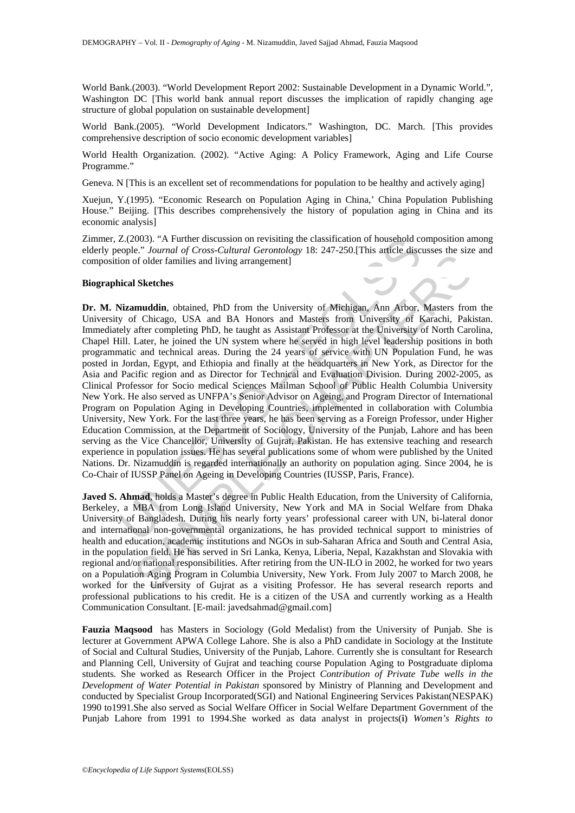World Bank.(2003). "World Development Report 2002: Sustainable Development in a Dynamic World.", Washington DC [This world bank annual report discusses the implication of rapidly changing age structure of global population on sustainable development]

World Bank.(2005). "World Development Indicators." Washington, DC. March. [This provides comprehensive description of socio economic development variables]

World Health Organization. (2002). "Active Aging: A Policy Framework, Aging and Life Course Programme."

Geneva. N [This is an excellent set of recommendations for population to be healthy and actively aging]

Xuejun, Y.(1995). "Economic Research on Population Aging in China,' China Population Publishing House." Beijing. [This describes comprehensively the history of population aging in China and its economic analysis]

Zimmer, Z.(2003). "A Further discussion on revisiting the classification of household composition among elderly people." *Journal of Cross-Cultural Gerontology* 18: 247-250.[This article discusses the size and composition of older families and living arrangement]

#### **Biographical Sketches**

Z.(2003). "A Further discussion on revisiting the classification of household ccoople." Journal of Cross-Cultural Gerontology 18: 247-250.[This article disconnois of older familes and living arrangement]<br>
ion of older fami of containing solutions, the University of Michigan, Ann Arbor, Masters from the University of Michigan, Ann Arbor, Masters from University of Kirachi, Pakistan from the University of Kirachi, Pakistan from the University **Dr. M. Nizamuddin***,* obtained, PhD from the University of Michigan, Ann Arbor, Masters from the University of Chicago, USA and BA Honors and Masters from University of Karachi, Pakistan. Immediately after completing PhD, he taught as Assistant Professor at the University of North Carolina, Chapel Hill. Later, he joined the UN system where he served in high level leadership positions in both programmatic and technical areas. During the 24 years of service with UN Population Fund, he was posted in Jordan, Egypt, and Ethiopia and finally at the headquarters in New York, as Director for the Asia and Pacific region and as Director for Technical and Evaluation Division. During 2002-2005, as Clinical Professor for Socio medical Sciences Mailman School of Public Health Columbia University New York. He also served as UNFPA's Senior Advisor on Ageing, and Program Director of International Program on Population Aging in Developing Countries, implemented in collaboration with Columbia University, New York. For the last three years, he has been serving as a Foreign Professor, under Higher Education Commission, at the Department of Sociology, University of the Punjab, Lahore and has been serving as the Vice Chancellor, University of Gujrat, Pakistan. He has extensive teaching and research experience in population issues. He has several publications some of whom were published by the United Nations. Dr. Nizamuddin is regarded internationally an authority on population aging. Since 2004, he is Co-Chair of IUSSP Panel on Ageing in Developing Countries (IUSSP, Paris, France).

**Javed S. Ahmad**, holds a Master's degree in Public Health Education, from the University of California, Berkeley, a MBA from Long Island University, New York and MA in Social Welfare from Dhaka University of Bangladesh. During his nearly forty years' professional career with UN, bi-lateral donor and international non-governmental organizations, he has provided technical support to ministries of health and education, academic institutions and NGOs in sub-Saharan Africa and South and Central Asia, in the population field. He has served in Sri Lanka, Kenya, Liberia, Nepal, Kazakhstan and Slovakia with regional and/or national responsibilities. After retiring from the UN-ILO in 2002, he worked for two years on a Population Aging Program in Columbia University, New York. From July 2007 to March 2008, he worked for the University of Gujrat as a visiting Professor. He has several research reports and professional publications to his credit. He is a citizen of the USA and currently working as a Health Communication Consultant. [E-mail: javedsahmad@gmail.com]

**Fauzia Maqsood** has Masters in Sociology (Gold Medalist) from the University of Punjab. She is lecturer at Government APWA College Lahore. She is also a PhD candidate in Sociology at the Institute of Social and Cultural Studies, University of the Punjab, Lahore. Currently she is consultant for Research and Planning Cell, University of Gujrat and teaching course Population Aging to Postgraduate diploma students. She worked as Research Officer in the Project *Contribution of Private Tube wells in the Development of Water Potential in Pakistan* sponsored by Ministry of Planning and Development and conducted by Specialist Group Incorporated(SGI) and National Engineering Services Pakistan(NESPAK) 1990 to1991.She also served as Social Welfare Officer in Social Welfare Department Government of the Punjab Lahore from 1991 to 1994.She worked as data analyst in projects(**i)** *Women's Rights to*